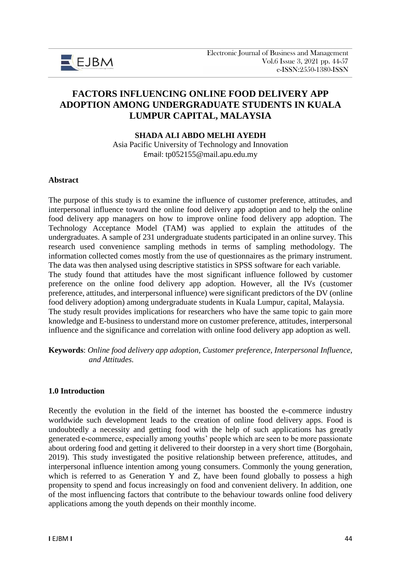

# **FACTORS INFLUENCING ONLINE FOOD DELIVERY APP ADOPTION AMONG UNDERGRADUATE STUDENTS IN KUALA LUMPUR CAPITAL, MALAYSIA**

#### **SHADA ALI ABDO MELHI AYEDH**

Asia Pacific University of Technology and Innovation Email: tp052155@mail.apu.edu.my

#### **Abstract**

The purpose of this study is to examine the influence of customer preference, attitudes, and interpersonal influence toward the online food delivery app adoption and to help the online food delivery app managers on how to improve online food delivery app adoption. The Technology Acceptance Model (TAM) was applied to explain the attitudes of the undergraduates. A sample of 231 undergraduate students participated in an online survey. This research used convenience sampling methods in terms of sampling methodology. The information collected comes mostly from the use of questionnaires as the primary instrument. The data was then analysed using descriptive statistics in SPSS software for each variable. The study found that attitudes have the most significant influence followed by customer preference on the online food delivery app adoption. However, all the IVs (customer preference, attitudes, and interpersonal influence) were significant predictors of the DV (online food delivery adoption) among undergraduate students in Kuala Lumpur, capital, Malaysia. The study result provides implications for researchers who have the same topic to gain more knowledge and E-business to understand more on customer preference, attitudes, interpersonal influence and the significance and correlation with online food delivery app adoption as well.

**Keywords**: *Online food delivery app adoption, Customer preference, Interpersonal Influence, and Attitudes.* 

#### **1.0 Introduction**

Recently the evolution in the field of the internet has boosted the e-commerce industry worldwide such development leads to the creation of online food delivery apps. Food is undoubtedly a necessity and getting food with the help of such applications has greatly generated e-commerce, especially among youths' people which are seen to be more passionate about ordering food and getting it delivered to their doorstep in a very short time (Borgohain, 2019). This study investigated the positive relationship between preference, attitudes, and interpersonal influence intention among young consumers. Commonly the young generation, which is referred to as Generation Y and Z, have been found globally to possess a high propensity to spend and focus increasingly on food and convenient delivery. In addition, one of the most influencing factors that contribute to the behaviour towards online food delivery applications among the youth depends on their monthly income.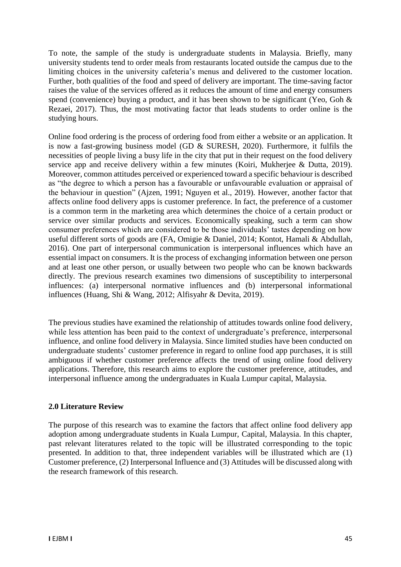To note, the sample of the study is undergraduate students in Malaysia. Briefly, many university students tend to order meals from restaurants located outside the campus due to the limiting choices in the university cafeteria's menus and delivered to the customer location. Further, both qualities of the food and speed of delivery are important. The time-saving factor raises the value of the services offered as it reduces the amount of time and energy consumers spend (convenience) buying a product, and it has been shown to be significant (Yeo, Goh & Rezaei, 2017). Thus, the most motivating factor that leads students to order online is the studying hours.

Online food ordering is the process of ordering food from either a website or an application. It is now a fast-growing business model (GD & SURESH, 2020). Furthermore, it fulfils the necessities of people living a busy life in the city that put in their request on the food delivery service app and receive delivery within a few minutes (Koiri, Mukherjee & Dutta, 2019). Moreover, common attitudes perceived or experienced toward a specific behaviour is described as "the degree to which a person has a favourable or unfavourable evaluation or appraisal of the behaviour in question" (Ajzen, 1991; Nguyen et al., 2019). However, another factor that affects online food delivery apps is customer preference. In fact, the preference of a customer is a common term in the marketing area which determines the choice of a certain product or service over similar products and services. Economically speaking, such a term can show consumer preferences which are considered to be those individuals' tastes depending on how useful different sorts of goods are (FA, Omigie & Daniel, 2014; Kontot, Hamali & Abdullah, 2016). One part of interpersonal communication is interpersonal influences which have an essential impact on consumers. It is the process of exchanging information between one person and at least one other person, or usually between two people who can be known backwards directly. The previous research examines two dimensions of susceptibility to interpersonal influences: (a) interpersonal normative influences and (b) interpersonal informational influences (Huang, Shi & Wang, 2012; Alfisyahr & Devita, 2019).

The previous studies have examined the relationship of attitudes towards online food delivery, while less attention has been paid to the context of undergraduate's preference, interpersonal influence, and online food delivery in Malaysia. Since limited studies have been conducted on undergraduate students' customer preference in regard to online food app purchases, it is still ambiguous if whether customer preference affects the trend of using online food delivery applications. Therefore, this research aims to explore the customer preference, attitudes, and interpersonal influence among the undergraduates in Kuala Lumpur capital, Malaysia.

### **2.0 Literature Review**

The purpose of this research was to examine the factors that affect online food delivery app adoption among undergraduate students in Kuala Lumpur, Capital, Malaysia. In this chapter, past relevant literatures related to the topic will be illustrated corresponding to the topic presented. In addition to that, three independent variables will be illustrated which are (1) Customer preference, (2) Interpersonal Influence and (3) Attitudes will be discussed along with the research framework of this research.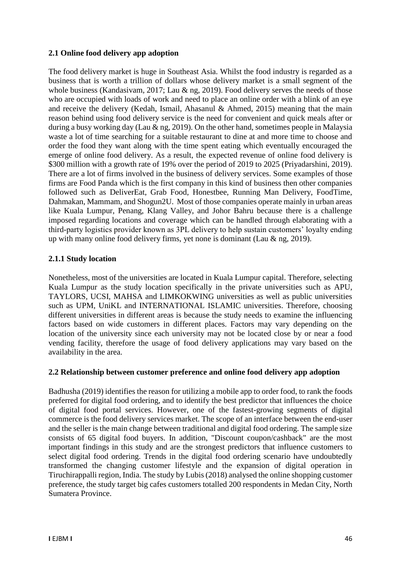### **2.1 Online food delivery app adoption**

The food delivery market is huge in Southeast Asia. Whilst the food industry is regarded as a business that is worth a trillion of dollars whose delivery market is a small segment of the whole business (Kandasivam, 2017; Lau & ng, 2019). Food delivery serves the needs of those who are occupied with loads of work and need to place an online order with a blink of an eye and receive the delivery (Kedah, Ismail, Ahasanul & Ahmed, 2015) meaning that the main reason behind using food delivery service is the need for convenient and quick meals after or during a busy working day (Lau & ng, 2019). On the other hand, sometimes people in Malaysia waste a lot of time searching for a suitable restaurant to dine at and more time to choose and order the food they want along with the time spent eating which eventually encouraged the emerge of online food delivery. As a result, the expected revenue of online food delivery is \$300 million with a growth rate of 19% over the period of 2019 to 2025 (Privadarshini, 2019). There are a lot of firms involved in the business of delivery services. Some examples of those firms are Food Panda which is the first company in this kind of business then other companies followed such as DeliverEat, Grab Food, Honestbee, Running Man Delivery, FoodTime, Dahmakan, Mammam, and Shogun2U. Most of those companies operate mainly in urban areas like Kuala Lumpur, Penang, Klang Valley, and Johor Bahru because there is a challenge imposed regarding locations and coverage which can be handled through elaborating with a third-party logistics provider known as 3PL delivery to help sustain customers' loyalty ending up with many online food delivery firms, yet none is dominant (Lau & ng, 2019).

#### **2.1.1 Study location**

Nonetheless, most of the universities are located in Kuala Lumpur capital. Therefore, selecting Kuala Lumpur as the study location specifically in the private universities such as APU, TAYLORS, UCSI, MAHSA and LIMKOKWING universities as well as public universities such as UPM, UniKL and INTERNATIONAL ISLAMIC universities. Therefore, choosing different universities in different areas is because the study needs to examine the influencing factors based on wide customers in different places. Factors may vary depending on the location of the university since each university may not be located close by or near a food vending facility, therefore the usage of food delivery applications may vary based on the availability in the area.

#### **2.2 Relationship between customer preference and online food delivery app adoption**

Badhusha (2019) identifies the reason for utilizing a mobile app to order food, to rank the foods preferred for digital food ordering, and to identify the best predictor that influences the choice of digital food portal services. However, one of the fastest-growing segments of digital commerce is the food delivery services market. The scope of an interface between the end-user and the seller is the main change between traditional and digital food ordering. The sample size consists of 65 digital food buyers. In addition, "Discount coupon/cashback" are the most important findings in this study and are the strongest predictors that influence customers to select digital food ordering. Trends in the digital food ordering scenario have undoubtedly transformed the changing customer lifestyle and the expansion of digital operation in Tiruchirappalli region, India. The study by Lubis (2018) analysed the online shopping customer preference, the study target big cafes customers totalled 200 respondents in Medan City, North Sumatera Province.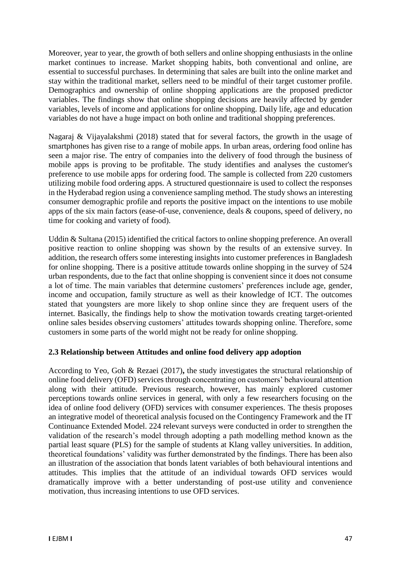Moreover, year to year, the growth of both sellers and online shopping enthusiasts in the online market continues to increase. Market shopping habits, both conventional and online, are essential to successful purchases. In determining that sales are built into the online market and stay within the traditional market, sellers need to be mindful of their target customer profile. Demographics and ownership of online shopping applications are the proposed predictor variables. The findings show that online shopping decisions are heavily affected by gender variables, levels of income and applications for online shopping. Daily life, age and education variables do not have a huge impact on both online and traditional shopping preferences.

Nagaraj & Vijayalakshmi (2018) stated that for several factors, the growth in the usage of smartphones has given rise to a range of mobile apps. In urban areas, ordering food online has seen a major rise. The entry of companies into the delivery of food through the business of mobile apps is proving to be profitable. The study identifies and analyses the customer's preference to use mobile apps for ordering food. The sample is collected from 220 customers utilizing mobile food ordering apps. A structured questionnaire is used to collect the responses in the Hyderabad region using a convenience sampling method. The study shows an interesting consumer demographic profile and reports the positive impact on the intentions to use mobile apps of the six main factors (ease-of-use, convenience, deals & coupons, speed of delivery, no time for cooking and variety of food).

Uddin & Sultana (2015) identified the critical factors to online shopping preference. An overall positive reaction to online shopping was shown by the results of an extensive survey. In addition, the research offers some interesting insights into customer preferences in Bangladesh for online shopping. There is a positive attitude towards online shopping in the survey of 524 urban respondents, due to the fact that online shopping is convenient since it does not consume a lot of time. The main variables that determine customers' preferences include age, gender, income and occupation, family structure as well as their knowledge of ICT. The outcomes stated that youngsters are more likely to shop online since they are frequent users of the internet. Basically, the findings help to show the motivation towards creating target-oriented online sales besides observing customers' attitudes towards shopping online. Therefore, some customers in some parts of the world might not be ready for online shopping.

### **2.3 Relationship between Attitudes and online food delivery app adoption**

According to Yeo, Goh & Rezaei (2017)**,** the study investigates the structural relationship of online food delivery (OFD) services through concentrating on customers' behavioural attention along with their attitude. Previous research, however, has mainly explored customer perceptions towards online services in general, with only a few researchers focusing on the idea of online food delivery (OFD) services with consumer experiences. The thesis proposes an integrative model of theoretical analysis focused on the Contingency Framework and the IT Continuance Extended Model. 224 relevant surveys were conducted in order to strengthen the validation of the research's model through adopting a path modelling method known as the partial least square (PLS) for the sample of students at Klang valley universities. In addition, theoretical foundations' validity was further demonstrated by the findings. There has been also an illustration of the association that bonds latent variables of both behavioural intentions and attitudes. This implies that the attitude of an individual towards OFD services would dramatically improve with a better understanding of post-use utility and convenience motivation, thus increasing intentions to use OFD services.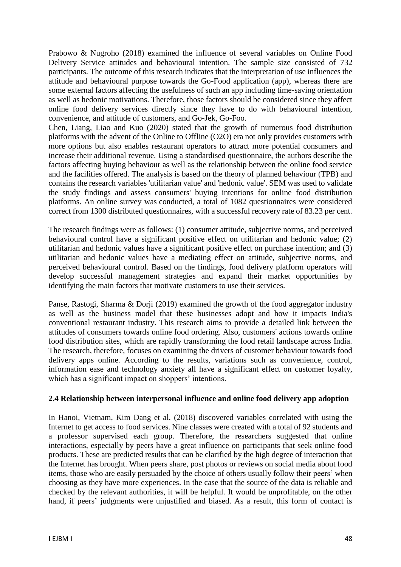Prabowo & Nugroho (2018) examined the influence of several variables on Online Food Delivery Service attitudes and behavioural intention. The sample size consisted of 732 participants. The outcome of this research indicates that the interpretation of use influences the attitude and behavioural purpose towards the Go-Food application (app), whereas there are some external factors affecting the usefulness of such an app including time-saving orientation as well as hedonic motivations. Therefore, those factors should be considered since they affect online food delivery services directly since they have to do with behavioural intention, convenience, and attitude of customers, and Go-Jek, Go-Foo.

Chen, Liang, Liao and Kuo (2020) stated that the growth of numerous food distribution platforms with the advent of the Online to Offline (O2O) era not only provides customers with more options but also enables restaurant operators to attract more potential consumers and increase their additional revenue. Using a standardised questionnaire, the authors describe the factors affecting buying behaviour as well as the relationship between the online food service and the facilities offered. The analysis is based on the theory of planned behaviour (TPB) and contains the research variables 'utilitarian value' and 'hedonic value'. SEM was used to validate the study findings and assess consumers' buying intentions for online food distribution platforms. An online survey was conducted, a total of 1082 questionnaires were considered correct from 1300 distributed questionnaires, with a successful recovery rate of 83.23 per cent.

The research findings were as follows: (1) consumer attitude, subjective norms, and perceived behavioural control have a significant positive effect on utilitarian and hedonic value; (2) utilitarian and hedonic values have a significant positive effect on purchase intention; and (3) utilitarian and hedonic values have a mediating effect on attitude, subjective norms, and perceived behavioural control. Based on the findings, food delivery platform operators will develop successful management strategies and expand their market opportunities by identifying the main factors that motivate customers to use their services.

Panse, Rastogi, Sharma & Dorji (2019) examined the growth of the food aggregator industry as well as the business model that these businesses adopt and how it impacts India's conventional restaurant industry. This research aims to provide a detailed link between the attitudes of consumers towards online food ordering. Also, customers' actions towards online food distribution sites, which are rapidly transforming the food retail landscape across India. The research, therefore, focuses on examining the drivers of customer behaviour towards food delivery apps online. According to the results, variations such as convenience, control, information ease and technology anxiety all have a significant effect on customer loyalty, which has a significant impact on shoppers' intentions.

### **2.4 Relationship between interpersonal influence and online food delivery app adoption**

In Hanoi, Vietnam, Kim Dang et al. (2018) discovered variables correlated with using the Internet to get access to food services. Nine classes were created with a total of 92 students and a professor supervised each group. Therefore, the researchers suggested that online interactions, especially by peers have a great influence on participants that seek online food products. These are predicted results that can be clarified by the high degree of interaction that the Internet has brought. When peers share, post photos or reviews on social media about food items, those who are easily persuaded by the choice of others usually follow their peers' when choosing as they have more experiences. In the case that the source of the data is reliable and checked by the relevant authorities, it will be helpful. It would be unprofitable, on the other hand, if peers' judgments were unjustified and biased. As a result, this form of contact is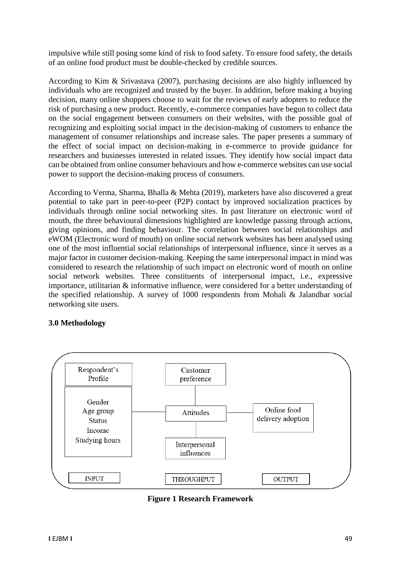impulsive while still posing some kind of risk to food safety. To ensure food safety, the details of an online food product must be double-checked by credible sources.

According to Kim & Srivastava (2007), purchasing decisions are also highly influenced by individuals who are recognized and trusted by the buyer. In addition, before making a buying decision, many online shoppers choose to wait for the reviews of early adopters to reduce the risk of purchasing a new product. Recently, e-commerce companies have begun to collect data on the social engagement between consumers on their websites, with the possible goal of recognizing and exploiting social impact in the decision-making of customers to enhance the management of consumer relationships and increase sales. The paper presents a summary of the effect of social impact on decision-making in e-commerce to provide guidance for researchers and businesses interested in related issues. They identify how social impact data can be obtained from online consumer behaviours and how e-commerce websites can use social power to support the decision-making process of consumers.

According to Verma, Sharma, Bhalla & Mehta (2019), marketers have also discovered a great potential to take part in peer-to-peer (P2P) contact by improved socialization practices by individuals through online social networking sites. In past literature on electronic word of mouth, the three behavioural dimensions highlighted are knowledge passing through actions, giving opinions, and finding behaviour. The correlation between social relationships and eWOM (Electronic word of mouth) on online social network websites has been analysed using one of the most influential social relationships of interpersonal influence, since it serves as a major factor in customer decision-making. Keeping the same interpersonal impact in mind was considered to research the relationship of such impact on electronic word of mouth on online social network websites. Three constituents of interpersonal impact, i.e., expressive importance, utilitarian & informative influence, were considered for a better understanding of the specified relationship. A survey of 1000 respondents from Mohali & Jalandhar social networking site users.

### **3.0 Methodology**



**Figure 1 Research Framework**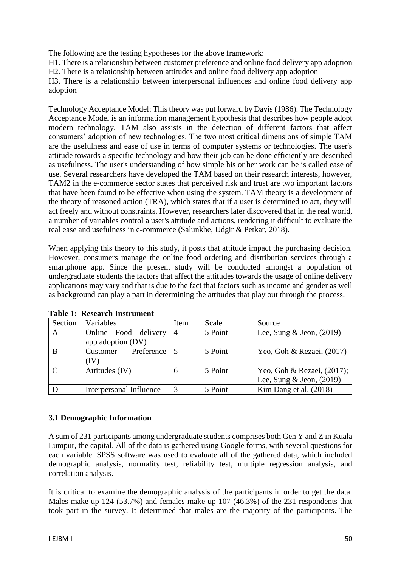The following are the testing hypotheses for the above framework:

H1. There is a relationship between customer preference and online food delivery app adoption H2. There is a relationship between attitudes and online food delivery app adoption

H3. There is a relationship between interpersonal influences and online food delivery app adoption

Technology Acceptance Model: This theory was put forward by Davis (1986). The Technology Acceptance Model is an information management hypothesis that describes how people adopt modern technology. TAM also assists in the detection of different factors that affect consumers' adoption of new technologies. The two most critical dimensions of simple TAM are the usefulness and ease of use in terms of computer systems or technologies. The user's attitude towards a specific technology and how their job can be done efficiently are described as usefulness. The user's understanding of how simple his or her work can be is called ease of use. Several researchers have developed the TAM based on their research interests, however, TAM2 in the e-commerce sector states that perceived risk and trust are two important factors that have been found to be effective when using the system. TAM theory is a development of the theory of reasoned action (TRA), which states that if a user is determined to act, they will act freely and without constraints. However, researchers later discovered that in the real world, a number of variables control a user's attitude and actions, rendering it difficult to evaluate the real ease and usefulness in e-commerce (Salunkhe, Udgir & Petkar, 2018).

When applying this theory to this study, it posts that attitude impact the purchasing decision. However, consumers manage the online food ordering and distribution services through a smartphone app. Since the present study will be conducted amongst a population of undergraduate students the factors that affect the attitudes towards the usage of online delivery applications may vary and that is due to the fact that factors such as income and gender as well as background can play a part in determining the attitudes that play out through the process.

| Section      | Variables               | Item | Scale   | Source                        |
|--------------|-------------------------|------|---------|-------------------------------|
| A            | delivery<br>Online Food | 4    | 5 Point | Lee, Sung $&$ Jeon, (2019)    |
|              | app adoption (DV)       |      |         |                               |
| B            | Preference<br>Customer  |      | 5 Point | Yeo, Goh & Rezaei, $(2017)$   |
|              | (IV)                    |      |         |                               |
| $\mathbf{C}$ | Attitudes (IV)          | 6    | 5 Point | Yeo, Goh & Rezaei, $(2017)$ ; |
|              |                         |      |         | Lee, Sung & Jeon, $(2019)$    |
|              | Interpersonal Influence |      | 5 Point | Kim Dang et al. $(2018)$      |

**Table 1: Research Instrument**

### **3.1 Demographic Information**

A sum of 231 participants among undergraduate students comprises both Gen Y and Z in Kuala Lumpur, the capital. All of the data is gathered using Google forms, with several questions for each variable. SPSS software was used to evaluate all of the gathered data, which included demographic analysis, normality test, reliability test, multiple regression analysis, and correlation analysis.

It is critical to examine the demographic analysis of the participants in order to get the data. Males make up 124 (53.7%) and females make up 107 (46.3%) of the 231 respondents that took part in the survey. It determined that males are the majority of the participants. The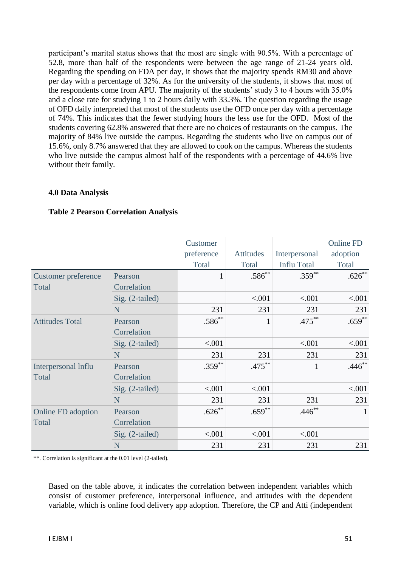participant's marital status shows that the most are single with 90.5%. With a percentage of 52.8, more than half of the respondents were between the age range of 21-24 years old. Regarding the spending on FDA per day, it shows that the majority spends RM30 and above per day with a percentage of 32%. As for the university of the students, it shows that most of the respondents come from APU. The majority of the students' study 3 to 4 hours with 35.0% and a close rate for studying 1 to 2 hours daily with 33.3%. The question regarding the usage of OFD daily interpreted that most of the students use the OFD once per day with a percentage of 74%. This indicates that the fewer studying hours the less use for the OFD. Most of the students covering 62.8% answered that there are no choices of restaurants on the campus. The majority of 84% live outside the campus. Regarding the students who live on campus out of 15.6%, only 8.7% answered that they are allowed to cook on the campus. Whereas the students who live outside the campus almost half of the respondents with a percentage of 44.6% live without their family.

#### **4.0 Data Analysis**

|                            |                   | Customer     |              |                    | <b>Online FD</b> |
|----------------------------|-------------------|--------------|--------------|--------------------|------------------|
|                            |                   | preference   | Attitudes    | Interpersonal      | adoption         |
|                            |                   | Total        | Total        | <b>Influ Total</b> | Total            |
| <b>Customer preference</b> | Pearson           | $\mathbf{1}$ | $.586^{**}$  | $.359***$          | $.626**$         |
| Total                      | Correlation       |              |              |                    |                  |
|                            | Sig. (2-tailed)   |              | < .001       | < .001             | < .001           |
|                            | N                 | 231          | 231          | 231                | 231              |
| <b>Attitudes Total</b>     | Pearson           | $.586^{**}$  | $\mathbf{1}$ | $.475***$          | $.659***$        |
|                            | Correlation       |              |              |                    |                  |
|                            | $Sig. (2-tailed)$ | < .001       |              | < .001             | < .001           |
|                            | N                 | 231          | 231          | 231                | 231              |
| Interpersonal Influ        | Pearson           | $.359***$    | $.475***$    | $\mathbf{1}$       | $.446**$         |
| Total                      | Correlation       |              |              |                    |                  |
|                            | $Sig. (2-tailed)$ | < .001       | < .001       |                    | < .001           |
|                            | N                 | 231          | 231          | 231                | 231              |
| Online FD adoption         | Pearson           | $.626**$     | $.659**$     | $.446**$           | 1                |
| Total                      | Correlation       |              |              |                    |                  |
|                            | $Sig. (2-tailed)$ | < .001       | < .001       | < .001             |                  |
|                            | N                 | 231          | 231          | 231                | 231              |

### **Table 2 Pearson Correlation Analysis**

\*\*. Correlation is significant at the 0.01 level (2-tailed).

Based on the table above, it indicates the correlation between independent variables which consist of customer preference, interpersonal influence, and attitudes with the dependent variable, which is online food delivery app adoption. Therefore, the CP and Atti (independent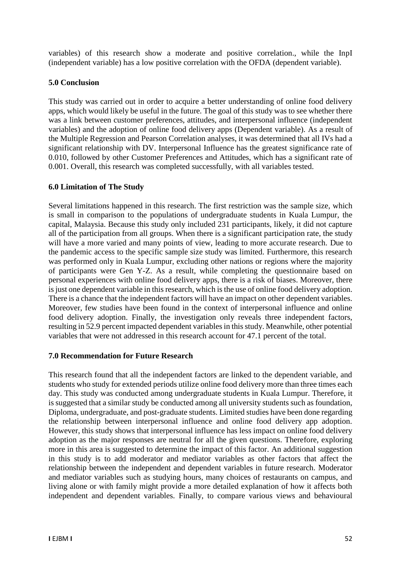variables) of this research show a moderate and positive correlation., while the InpI (independent variable) has a low positive correlation with the OFDA (dependent variable).

# **5.0 Conclusion**

This study was carried out in order to acquire a better understanding of online food delivery apps, which would likely be useful in the future. The goal of this study was to see whether there was a link between customer preferences, attitudes, and interpersonal influence (independent variables) and the adoption of online food delivery apps (Dependent variable). As a result of the Multiple Regression and Pearson Correlation analyses, it was determined that all IVs had a significant relationship with DV. Interpersonal Influence has the greatest significance rate of 0.010, followed by other Customer Preferences and Attitudes, which has a significant rate of 0.001. Overall, this research was completed successfully, with all variables tested.

# **6.0 Limitation of The Study**

Several limitations happened in this research. The first restriction was the sample size, which is small in comparison to the populations of undergraduate students in Kuala Lumpur, the capital, Malaysia. Because this study only included 231 participants, likely, it did not capture all of the participation from all groups. When there is a significant participation rate, the study will have a more varied and many points of view, leading to more accurate research. Due to the pandemic access to the specific sample size study was limited. Furthermore, this research was performed only in Kuala Lumpur, excluding other nations or regions where the majority of participants were Gen Y-Z. As a result, while completing the questionnaire based on personal experiences with online food delivery apps, there is a risk of biases. Moreover, there is just one dependent variable in this research, which is the use of online food delivery adoption. There is a chance that the independent factors will have an impact on other dependent variables. Moreover, few studies have been found in the context of interpersonal influence and online food delivery adoption. Finally, the investigation only reveals three independent factors, resulting in 52.9 percent impacted dependent variables in this study. Meanwhile, other potential variables that were not addressed in this research account for 47.1 percent of the total.

### **7.0 Recommendation for Future Research**

This research found that all the independent factors are linked to the dependent variable, and students who study for extended periods utilize online food delivery more than three times each day. This study was conducted among undergraduate students in Kuala Lumpur. Therefore, it is suggested that a similar study be conducted among all university students such as foundation, Diploma, undergraduate, and post-graduate students. Limited studies have been done regarding the relationship between interpersonal influence and online food delivery app adoption. However, this study shows that interpersonal influence has less impact on online food delivery adoption as the major responses are neutral for all the given questions. Therefore, exploring more in this area is suggested to determine the impact of this factor. An additional suggestion in this study is to add moderator and mediator variables as other factors that affect the relationship between the independent and dependent variables in future research. Moderator and mediator variables such as studying hours, many choices of restaurants on campus, and living alone or with family might provide a more detailed explanation of how it affects both independent and dependent variables. Finally, to compare various views and behavioural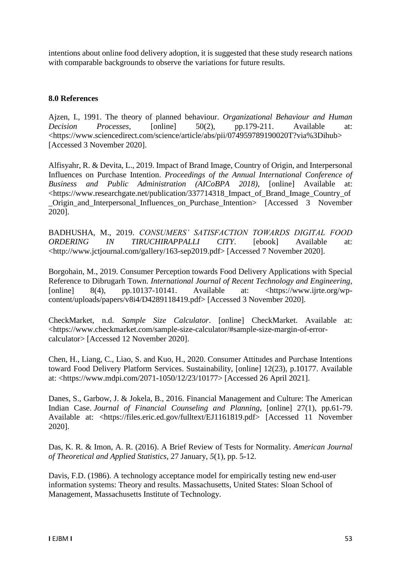intentions about online food delivery adoption, it is suggested that these study research nations with comparable backgrounds to observe the variations for future results.

# **8.0 References**

Ajzen, I., 1991. The theory of planned behaviour. *Organizational Behaviour and Human Decision Processes*, [online] 50(2), pp.179-211. Available at: <https://www.sciencedirect.com/science/article/abs/pii/074959789190020T?via%3Dihub> [Accessed 3 November 2020].

Alfisyahr, R. & Devita, L., 2019. Impact of Brand Image, Country of Origin, and Interpersonal Influences on Purchase Intention. *Proceedings of the Annual International Conference of Business and Public Administration (AICoBPA 2018)*, [online] Available at: <https://www.researchgate.net/publication/337714318\_Impact\_of\_Brand\_Image\_Country\_of Origin and Interpersonal Influences on Purchase Intention> [Accessed 3 November 2020].

BADHUSHA, M., 2019. *CONSUMERS' SATISFACTION TOWARDS DIGITAL FOOD ORDERING IN TIRUCHIRAPPALLI CITY*. [ebook] Available at: <http://www.jctjournal.com/gallery/163-sep2019.pdf> [Accessed 7 November 2020].

Borgohain, M., 2019. Consumer Perception towards Food Delivery Applications with Special Reference to Dibrugarh Town. *International Journal of Recent Technology and Engineering*, [online]  $8(4)$ , pp.10137-10141. Available at: <https://www.ijrte.org/wpcontent/uploads/papers/v8i4/D4289118419.pdf> [Accessed 3 November 2020].

CheckMarket, n.d. *Sample Size Calculator*. [online] CheckMarket. Available at: <https://www.checkmarket.com/sample-size-calculator/#sample-size-margin-of-errorcalculator> [Accessed 12 November 2020].

Chen, H., Liang, C., Liao, S. and Kuo, H., 2020. Consumer Attitudes and Purchase Intentions toward Food Delivery Platform Services. Sustainability, [online] 12(23), p.10177. Available at: <https://www.mdpi.com/2071-1050/12/23/10177> [Accessed 26 April 2021].

Danes, S., Garbow, J. & Jokela, B., 2016. Financial Management and Culture: The American Indian Case. *Journal of Financial Counseling and Planning*, [online] 27(1), pp.61-79. Available at: <https://files.eric.ed.gov/fulltext/EJ1161819.pdf> [Accessed 11 November 2020].

Das, K. R. & Imon, A. R. (2016). A Brief Review of Tests for Normality. *American Journal of Theoretical and Applied Statistics,* 27 January, *5*(1), pp. 5-12.

Davis, F.D. (1986). A technology acceptance model for empirically testing new end-user information systems: Theory and results. Massachusetts, United States: Sloan School of Management, Massachusetts Institute of Technology.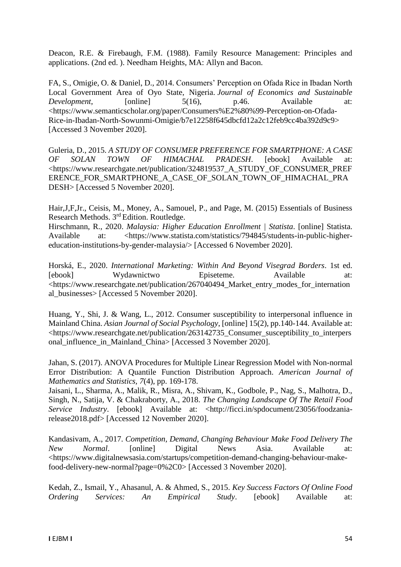Deacon, R.E. & Firebaugh, F.M. (1988). Family Resource Management: Principles and applications. (2nd ed. ). Needham Heights, MA: Allyn and Bacon.

FA, S., Omigie, O. & Daniel, D., 2014. Consumers' Perception on Ofada Rice in Ibadan North Local Government Area of Oyo State, Nigeria. *Journal of Economics and Sustainable Development*, [online] 5(16), p.46. Available at: <https://www.semanticscholar.org/paper/Consumers%E2%80%99-Perception-on-Ofada-Rice-in-Ibadan-North-Sowunmi-Omigie/b7e12258f645dbcfd12a2c12feb9cc4ba392d9c9> [Accessed 3 November 2020].

Guleria, D., 2015. *A STUDY OF CONSUMER PREFERENCE FOR SMARTPHONE: A CASE OF SOLAN TOWN OF HIMACHAL PRADESH*. [ebook] Available at: <https://www.researchgate.net/publication/324819537\_A\_STUDY\_OF\_CONSUMER\_PREF ERENCE\_FOR\_SMARTPHONE\_A\_CASE\_OF\_SOLAN\_TOWN\_OF\_HIMACHAL\_PRA DESH> [Accessed 5 November 2020].

Hair,J,F,Jr., Ceisis, M., Money, A., Samouel, P., and Page, M. (2015) Essentials of Business Research Methods. 3rd Edition. Routledge.

Hirschmann, R., 2020. *Malaysia: Higher Education Enrollment | Statista*. [online] Statista. Available at: <https://www.statista.com/statistics/794845/students-in-public-highereducation-institutions-by-gender-malaysia/> [Accessed 6 November 2020].

Horská, E., 2020. *International Marketing: Within And Beyond Visegrad Borders*. 1st ed. [ebook] Wydawnictwo Episeteme. Available at: <https://www.researchgate.net/publication/267040494\_Market\_entry\_modes\_for\_internation al\_businesses> [Accessed 5 November 2020].

Huang, Y., Shi, J. & Wang, L., 2012. Consumer susceptibility to interpersonal influence in Mainland China. *Asian Journal of Social Psychology*, [online] 15(2), pp.140-144. Available at: <https://www.researchgate.net/publication/263142735\_Consumer\_susceptibility\_to\_interpers onal\_influence\_in\_Mainland\_China> [Accessed 3 November 2020].

Jahan, S. (2017). ANOVA Procedures for Multiple Linear Regression Model with Non-normal Error Distribution: A Quantile Function Distribution Approach. *American Journal of Mathematics and Statistics, 7*(4), pp. 169-178.

Jaisani, L., Sharma, A., Malik, R., Misra, A., Shivam, K., Godbole, P., Nag, S., Malhotra, D., Singh, N., Satija, V. & Chakraborty, A., 2018. *The Changing Landscape Of The Retail Food Service Industry.* [ebook] Available at: <http://ficci.in/spdocument/23056/foodzaniarelease2018.pdf> [Accessed 12 November 2020].

Kandasivam, A., 2017. *Competition, Demand, Changing Behaviour Make Food Delivery The New Normal*. [online] Digital News Asia. Available at: <https://www.digitalnewsasia.com/startups/competition-demand-changing-behaviour-makefood-delivery-new-normal?page=0%2C0> [Accessed 3 November 2020].

Kedah, Z., Ismail, Y., Ahasanul, A. & Ahmed, S., 2015. *Key Success Factors Of Online Food Ordering Services: An Empirical Study*. [ebook] Available at: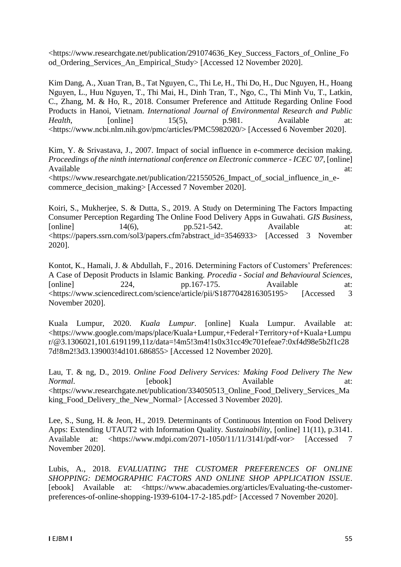<https://www.researchgate.net/publication/291074636\_Key\_Success\_Factors\_of\_Online\_Fo od\_Ordering\_Services\_An\_Empirical\_Study> [Accessed 12 November 2020].

Kim Dang, A., Xuan Tran, B., Tat Nguyen, C., Thi Le, H., Thi Do, H., Duc Nguyen, H., Hoang Nguyen, L., Huu Nguyen, T., Thi Mai, H., Dinh Tran, T., Ngo, C., Thi Minh Vu, T., Latkin, C., Zhang, M. & Ho, R., 2018. Consumer Preference and Attitude Regarding Online Food Products in Hanoi, Vietnam. *International Journal of Environmental Research and Public Health*, [online] 15(5), p.981. Available at: <https://www.ncbi.nlm.nih.gov/pmc/articles/PMC5982020/> [Accessed 6 November 2020].

Kim, Y. & Srivastava, J., 2007. Impact of social influence in e-commerce decision making. *Proceedings of the ninth international conference on Electronic commerce - ICEC '07*, [online] Available at:  $\overline{a}$  at: <https://www.researchgate.net/publication/221550526\_Impact\_of\_social\_influence\_in\_ecommerce\_decision\_making> [Accessed 7 November 2020].

Koiri, S., Mukherjee, S. & Dutta, S., 2019. A Study on Determining The Factors Impacting Consumer Perception Regarding The Online Food Delivery Apps in Guwahati. *GIS Business*,  $[0.1em]$  14(6), pp.521-542. Available at: <https://papers.ssrn.com/sol3/papers.cfm?abstract\_id=3546933> [Accessed 3 November 2020].

Kontot, K., Hamali, J. & Abdullah, F., 2016. Determining Factors of Customers' Preferences: A Case of Deposit Products in Islamic Banking. *Procedia - Social and Behavioural Sciences*, [online] 224, pp.167-175. Available at: <https://www.sciencedirect.com/science/article/pii/S1877042816305195> [Accessed 3 November 2020].

Kuala Lumpur, 2020. *Kuala Lumpur*. [online] Kuala Lumpur. Available at: <https://www.google.com/maps/place/Kuala+Lumpur,+Federal+Territory+of+Kuala+Lumpu r/@3.1306021,101.6191199,11z/data=!4m5!3m4!1s0x31cc49c701efeae7:0xf4d98e5b2f1c28 7d!8m2!3d3.139003!4d101.686855> [Accessed 12 November 2020].

Lau, T. & ng, D., 2019. *Online Food Delivery Services: Making Food Delivery The New Normal*. **Example 1** [ebook] **Available** at: <https://www.researchgate.net/publication/334050513\_Online\_Food\_Delivery\_Services\_Ma king\_Food\_Delivery\_the\_New\_Normal> [Accessed 3 November 2020].

Lee, S., Sung, H. & Jeon, H., 2019. Determinants of Continuous Intention on Food Delivery Apps: Extending UTAUT2 with Information Quality. *Sustainability*, [online] 11(11), p.3141. Available at: <https://www.mdpi.com/2071-1050/11/11/3141/pdf-vor> [Accessed 7 November 2020].

Lubis, A., 2018. *EVALUATING THE CUSTOMER PREFERENCES OF ONLINE SHOPPING: DEMOGRAPHIC FACTORS AND ONLINE SHOP APPLICATION ISSUE*. [ebook] Available at: <https://www.abacademies.org/articles/Evaluating-the-customerpreferences-of-online-shopping-1939-6104-17-2-185.pdf> [Accessed 7 November 2020].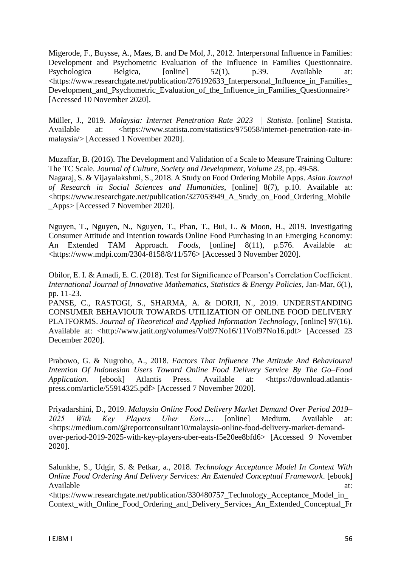Migerode, F., Buysse, A., Maes, B. and De Mol, J., 2012. Interpersonal Influence in Families: Development and Psychometric Evaluation of the Influence in Families Questionnaire. Psychologica Belgica,  $\boxed{\text{online}} = 52(1)$ , p.39. Available <https://www.researchgate.net/publication/276192633\_Interpersonal\_Influence\_in\_Families\_ Development\_and\_Psychometric\_Evaluation\_of\_the\_Influence\_in\_Families\_Questionnaire> [Accessed 10 November 2020].

Müller, J., 2019. *Malaysia: Internet Penetration Rate 2023 | Statista*. [online] Statista. Available at: <https://www.statista.com/statistics/975058/internet-penetration-rate-inmalaysia/> [Accessed 1 November 2020].

Muzaffar, B. (2016). The Development and Validation of a Scale to Measure Training Culture: The TC Scale. *Journal of Culture, Society and Development, Volume 23*, pp. 49-58. Nagaraj, S. & Vijayalakshmi, S., 2018. A Study on Food Ordering Mobile Apps. *Asian Journal of Research in Social Sciences and Humanities*, [online] 8(7), p.10. Available at: <https://www.researchgate.net/publication/327053949\_A\_Study\_on\_Food\_Ordering\_Mobile \_Apps> [Accessed 7 November 2020].

Nguyen, T., Nguyen, N., Nguyen, T., Phan, T., Bui, L. & Moon, H., 2019. Investigating Consumer Attitude and Intention towards Online Food Purchasing in an Emerging Economy: An Extended TAM Approach. *Foods*, [online] 8(11), p.576. Available at: <https://www.mdpi.com/2304-8158/8/11/576> [Accessed 3 November 2020].

Obilor, E. I. & Amadi, E. C. (2018). Test for Significance of Pearson's Correlation Coefficient. *International Journal of Innovative Mathematics, Statistics & Energy Policies, Jan-Mar, 6(1),* pp. 11-23.

PANSE, C., RASTOGI, S., SHARMA, A. & DORJI, N., 2019. UNDERSTANDING CONSUMER BEHAVIOUR TOWARDS UTILIZATION OF ONLINE FOOD DELIVERY PLATFORMS. *Journal of Theoretical and Applied Information Technology*, [online] 97(16). Available at: <http://www.jatit.org/volumes/Vol97No16/11Vol97No16.pdf> [Accessed 23 December 2020].

Prabowo, G. & Nugroho, A., 2018. *Factors That Influence The Attitude And Behavioural Intention Of Indonesian Users Toward Online Food Delivery Service By The Go–Food Application*. [ebook] Atlantis Press. Available at: <https://download.atlantispress.com/article/55914325.pdf> [Accessed 7 November 2020].

Priyadarshini, D., 2019. *Malaysia Online Food Delivery Market Demand Over Period 2019– 2025 With Key Players Uber Eats…*. [online] Medium. Available at: <https://medium.com/@reportconsultant10/malaysia-online-food-delivery-market-demandover-period-2019-2025-with-key-players-uber-eats-f5e20ee8bfd6> [Accessed 9 November 2020].

Salunkhe, S., Udgir, S. & Petkar, a., 2018. *Technology Acceptance Model In Context With Online Food Ordering And Delivery Services: An Extended Conceptual Framework*. [ebook] Available at:  $\overline{a}$  at:

<https://www.researchgate.net/publication/330480757\_Technology\_Acceptance\_Model\_in\_ Context\_with\_Online\_Food\_Ordering\_and\_Delivery\_Services\_An\_Extended\_Conceptual\_Fr